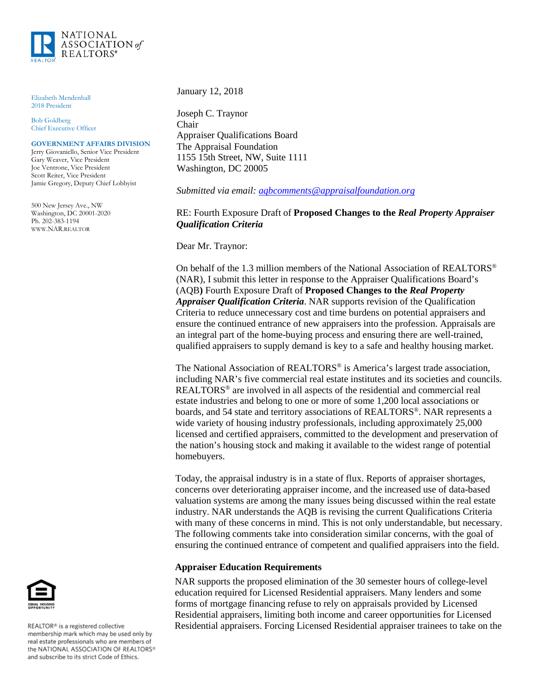

Elizabeth Mendenhall 2018 President

Bob Goldberg Chief Executive Officer

## **GOVERNMENT AFFAIRS DIVISION**

Jerry Giovaniello, Senior Vice President Gary Weaver, Vice President Joe Ventrone, Vice President Scott Reiter, Vice President Jamie Gregory, Deputy Chief Lobbyist

500 New Jersey Ave., NW Washington, DC 20001-2020 Ph. 202-383-1194 WWW.NAR.REALTOR

January 12, 2018

Joseph C. Traynor Chair Appraiser Qualifications Board The Appraisal Foundation 1155 15th Street, NW, Suite 1111 Washington, DC 20005

*Submitted via email: [aqbcomments@appraisalfoundation.org](mailto:aqbcomments@appraisalfoundation.org)*

## RE: Fourth Exposure Draft of **Proposed Changes to the** *Real Property Appraiser Qualification Criteria*

Dear Mr. Traynor:

On behalf of the 1.3 million members of the National Association of REALTORS® (NAR), I submit this letter in response to the Appraiser Qualifications Board's (AQB**)** Fourth Exposure Draft of **Proposed Changes to the** *Real Property Appraiser Qualification Criteria*. NAR supports revision of the Qualification Criteria to reduce unnecessary cost and time burdens on potential appraisers and ensure the continued entrance of new appraisers into the profession. Appraisals are an integral part of the home-buying process and ensuring there are well-trained, qualified appraisers to supply demand is key to a safe and healthy housing market.

The National Association of REALTORS® is America's largest trade association, including NAR's five commercial real estate institutes and its societies and councils. REALTORS® are involved in all aspects of the residential and commercial real estate industries and belong to one or more of some 1,200 local associations or boards, and 54 state and territory associations of REALTORS®. NAR represents a wide variety of housing industry professionals, including approximately 25,000 licensed and certified appraisers, committed to the development and preservation of the nation's housing stock and making it available to the widest range of potential homebuyers.

Today, the appraisal industry is in a state of flux. Reports of appraiser shortages, concerns over deteriorating appraiser income, and the increased use of data-based valuation systems are among the many issues being discussed within the real estate industry. NAR understands the AQB is revising the current Qualifications Criteria with many of these concerns in mind. This is not only understandable, but necessary. The following comments take into consideration similar concerns, with the goal of ensuring the continued entrance of competent and qualified appraisers into the field.

## **Appraiser Education Requirements**

NAR supports the proposed elimination of the 30 semester hours of college-level education required for Licensed Residential appraisers. Many lenders and some forms of mortgage financing refuse to rely on appraisals provided by Licensed Residential appraisers, limiting both income and career opportunities for Licensed Residential appraisers. Forcing Licensed Residential appraiser trainees to take on the



REALTOR® is a registered collective membership mark which may be used only by real estate professionals who are members of<br>the NATIONAL ASSOCIATION OF REALTORS® and subscribe to its strict Code of Ethics.